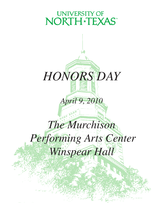## **UNIVERSITY OF** NORTH\*TEXAS



## *April 9, 2010*

# *The Murchison Performing Arts Center Winspear Hall*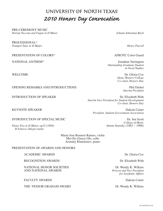## UNIVERSITY OF NORTH TEXAS *2010 Honors Day Convocation*

PRE-CEREMONY MUSIC

*Dorian Toccata and Fugue in D Minor Johann Sebastian Bach* 

PROCESSIONAL\* *Trumpet Tune in D Major*  $H$  *Alarma Purcell* 

PRESENTATION OF COLORS\* AFROTC Color Guard

NATIONAL ANTHEM\* Jonathan Yarrington *Outstanding Graduate Student in Vocal Studies*

WELCOME Dr. Gloria Cox *Dean, Honors College Co-chair, Honors Day*

*Interim President*

INTRODUCTION OF SPEAKER DR. Elizabeth With *Interim Vice President for Student Development Co-chair, Honors Day*

KEYNOTE SPEAKER DAKOTA DAKOTA DAKOTA DAKOTA DAKOTA DAKOTA DAKOTA DAKOTA DAKOTA DAKOTA DAKOTA DAKOTA DAKOTA DA *President, Student Government Association*

*College of Music*<br>*Anton Arensky* (1861 – 1906)

OPENING REMARKS AND INTRODUCTIONS Phil Diebel

INTRODUCTION OF SPECIAL MUSIC Dr. Jim Scott

*Piano Trio in D Minor, op32 (1894) II Scherzo-Allegro molto*

> Maria Jose Romero Ramos, violin Mei-En (Grace) Ho, cello Arsentiy Kharitonov, piano

#### PRESENTATION OF AWARDS AND HONORS

ACADEMIC AWARDS Dr. Gloria Cox

RECOGNITION AWARDS Dr. Elizabeth With

NATIONAL HONOR SOCIETIES Dr. Wendy K. Wilkins AND NATIONAL AWARDS *Provost and Vice President* 

FACULTY AWARDS Dakota Carter

THE 'FESSOR GRAHAM AWARD Dr. Wendy K. Wilkins

*for Academic Affairs*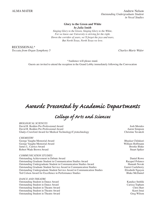ALMA MATER Andrew Nelson *Outstanding Undergraduate Student in Vocal Studies*

#### **Glory to the Green and White** *by Julia Smith*

*Singing Glory to the Green, Singing Glory to the White, For we know our University is striving for the right. Down the corridor of years, we'll forget the joys and tears, But North Texas, North Texas we love.*

RECESSIONAL\* *Toccata from Organ Symphony 5 Charles-Marie Widor*

\*Audience will please stand. Guests are invited to attend the reception in the Grand Lobby immediately following the Convocation

## *Awards Presented by Academic Departments*

## *College of Arts and Sciences*

*BIOLOGICAL SCIENCES* David R. Redden Pre-Professional Award Josh Morales<br>
David R. Redden Pre-Professional Award Award Award Award Award Award Award Award Award Award Award Award Award David R. Redden Pre-Professional Award Gladys Crawford Award for Medical Technology/Cytotechnology Christine Tavakoli

#### *CHEMISTRY*

George Vaughn Memorial Award<br>George Vaughn Memorial Award Bhaskar Chilukuri<br>Bhaskar Chilukuri George Vaughn Memorial Award William Hoffmann (William Hoffmann (William Hoffmann (William Hoffmann (William Hoffmann (William Hoffmann (William Hoffmann (William Hoffmann (William Hoffmann (William Hoffmann (William Hoffm James L. Carrico Award Robert Wade Brown Award Stuart Spiker Stuart Spiker Stuart Spiker

#### *COMMUNICATION STUDIES*

Outstanding Achievement in Debate Award **Daniel Rowe**<br>
Outstanding Graduate Student in Communication Studies Award **Daniel Rowe**<br>
Racquel Polanco Outstanding Graduate Student in Communication Studies Award Racquel Polanco<br>
Outstanding Undergraduate Student in Communication Studies Award Hannah Novak Outstanding Undergraduate Student in Communication Studies Award Outstanding Graduate Student Service Award in Communication Studies Garret Castleberry Outstanding Undergraduate Student Service Award in Communication Studies Elizabeth Nguyen<br>Ted Colson Award for Excellence in Performance Studies **Elizabeth Studies** Blake McDaniel Ted Colson Award for Excellence in Performance Studies

#### *DANCE AND THEATRE*

Outstanding Student in Dance Award **Kandice Stehlik** Kandice Stehlik Outstanding Student in Dance Award Carissa Topham Outstanding Student in Theatre Award Chris Barr Outstanding Student in Theatre Award Kaori Imai<br>
Outstanding Student in Theatre Award Kaori Imai<br>
Greg Wilson Outstanding Student in Theatre Award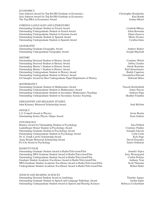#### *ECONOMICS*

Jack Johnson Award for Top BA/BS Graduate in Economics<br>Jack Johnson Award for Top BA/BS Graduate in Economics Kari Routh Jack Johnson Award for Top BA/BS Graduate in Economics Kari Routh<br>The Top BBA in Economics Award Soshua Mitzel The Top BBA in Economics Award

#### *FOREIGN LANGUAGES AND LITERATURES*

Outstanding Graduate Student in French Award<br>
Outstanding Undergraduate Student in French Award Mark and Alton Bowman Outstanding Undergraduate Student in French Award Alton Bowman Alton Bowman (Alton Bowman Award Alton Bowman Award Alton Bowman (Alton Bowman Award Alton Bowman Award Alton Bowman (Alton Bowman Award Alton Bowman Award Alt Outstanding Undergraduate Student in German Award Outstanding Graduate Student in Spanish Award Nietz and Student and Mirna Alvarez Outstanding Undergraduate Student in Spanish Award Cynthia Salas

#### *GEOGRAPHY*

Outstanding Graduate Geography Award<br>
Outstanding Undergraduate Geography Award<br>
Outstanding Undergraduate Geography Award Outstanding Undergraduate Geography Award

#### *HISTORY*

Outstanding Doctoral Student in History Award Courtney Welch Outstanding Doctoral Student in History Award<br>
Outstanding Master's Student in History Award **Department Construction** Derek Boetcher Outstanding Master's Student in History Award<br>
Outstanding Master's Student in History Award Master's Student in History Award Paul Strietelmeier Outstanding Master's Student in History Award Outstanding Undergraduate Student in History Award Buddy Caperton Outstanding Undergraduate Student in History Award<br>
Gwendolyn Edward Gil Samples Award for Best Undergraduate Paper/Department of History **Student Student Student Container** Gil Samples Award for Best Undergraduate Paper/Department of History

#### *MATHEMATICS*

Outstanding Graduate Student in Mathematics Award Vincent Kieftenbeld Outstanding Undergraduate Student in Mathematics Award James Pascoe Outstanding Undergraduate Student in Secondary Mathematics Teaching **Andreea Popa**<br>
Outstanding Undergraduate Student in Secondary Science Teaching **Andree** Pranklin Outstanding Undergraduate Student in Secondary Science Teaching

#### *PHILOSOPHY AND RELIGION STUDIES*  John Kimmey Memorial Scholarship Award Josh McNutt

#### *PHYSICS*

L.F. Connell Award in Physics Javier Rocha Outstanding Senior Physics Major Award Sean Guthrie Sean Guthrie Sean Guthrie

#### *PSYCHOLOGY*

Bonney Award for Outstanding Student in Psychology Sara Pollard Sara Pollard Ladenberger Honor Student in Psychology Award Courtney Prather Outstanding Graduate Student in Psychology Award Outstanding Undergraduate Student in Psychology Award Carla Cook<br>
Dr. G. Frank Lawlis Scholarship Award Kyle Page Dr. G. Frank Lawlis Scholarship Award Kyle Page (Kyle Page 2014)<br>Anna Wright Memorial Scholarship Award (Kyle Page 2014) Anna Wright Memorial Scholarship Award<br>
Psi Chi Award in Psychology<br>
Jaime Goldstein Psi Chi Award in Psychology

#### *RADIO/TV/FILM*

Outstanding Graduate Student Award in Radio/Television/Film Jennifer Yepez<br>
Outstanding MFA Graduate Student Award in Radio/Television/Film Jerry Westergaard Outstanding MFA Graduate Student Award in Radio/Television/Film Jerry Westergaard<br>
Outstanding Undergraduate Student Award in Radio/Television/Film Jerry Corbin Perkins Outstanding Undergraduate Student Award in Radio/Television/Film Graduate Student Academic Excellence Award in Radio/Television/Film Anthony Tran MFA Graduate Student Academic Excellence Award in Radio/Television/Film Scott Thurman<br>Undergraduate Student Academic Excellence Award in Radio/Television/Film Robert Boler Undergraduate Student Academic Excellence Award in Radio/Television/Film

#### *SPEECH AND HEARING SCIENCES*

Outstanding Doctoral Student Award in Audiology Timothy Jaquez Outstanding Graduate Student in Speech and Language Pathology Award **Jordan Inglis**<br>Outstanding Undergraduate Student Award in Speech and Hearing Sciences Rebecca Cockerhamt Outstanding Undergraduate Student Award in Speech and Hearing Sciences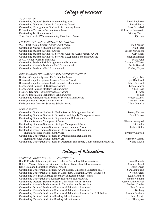## *College of Business*

#### *ACCOUNTING*

Outstanding Doctoral Student in Accounting Award Shani Robinson Outstanding Graduate Student in Accounting Award Russell Perry Russell Perry Outstanding Undergraduate Student in Accounting Award Ross Drapalski Federation of Schools of Accountancy Award **Aleksandar Jovanovic** Aleksandar Jovanovic Outstanding Tax Student Award Brittany Cicero Brittany Cicero Texas Society of CPA's in Accounting Excellence Award Qin Sun Qin Sun Qin Sun

*FINANCE, INSURANCE, REAL ESTATE AND LAW* Wall Street Journal Student Achievement Award Robert Morris Outstanding Master's Student in Finance Award **Amit Patel** Amit Patel Amit Patel Outstanding Student in Finance Award<br>
Outstanding Student in Financial Services-Academic Achievement Award Cary Cates<br>
Cary Cates Outstanding Student in Financial Services-Academic Achievement Award Outstanding Student in Financial Services-Exceptional Scholarship Award Michael Handal Handal Joe D. Hefner Award in Insurance Mark Perzi Outstanding Student Risk Management and Insurance Cassandra Wilcox Outstanding Master's Student in Real Estate Award Justin Harmel Outstanding Student in Real Estate Award Chelsey Hayes

#### *INFORMATION TECHNOLOGY AND DECISION SCIENCES*

Business Computer Systems Ph.D. Scholar Award **Oyku Isik** Oyku Isik Business Computer Systems Master's Scholar Award Rigel Blackwell Rigel Blackwell Business Computer Systems Undergraduate Scholar Award John Crawford Management Science Ph.D. Scholar Award Leticia Anaya<br>
Management Science Master's Scholar Award Chad Rose Chad Rose Management Science Master's Scholar Award Master's Decision Technology Scholar Award Idir Azzi Master's Information Technology Scholar Award Jun Lee Outstanding Management Information Systems Major Award Rebecca Laney Undergraduate BS/BCIS Scholar Award Rojan Thapa Undergraduate Decision Sciences Scholar Award Mark Graunke Mark Graunke

#### *MANAGEMENT*

Outstanding Graduate Student in Health Services Management Award Jeremy Deaver Outstanding Graduate Student in Operations and Supply Management Award David Barron Outstanding Graduate Student in Organizational Behavior and Human Resource Management Award<br>
standing Graduate Student in Strategic Management Award **Allyson Livengood** Pat Kinder Outstanding Graduate Student in Strategic Management Award Outstanding Undergraduate Student in Entrepreneurship Award Joshua Goler Outstanding Undergraduate Student in Organizational Behavior and Human Resource Management Award **Brittany Caldwell** Brittany Caldwell Outstanding Undergraduate Student in Organizational Behavior and Human Resource Management Award<br>
standing Undergraduate Student in Operations and Supply Chain Management Award Valrie Rouell Outstanding Undergraduate Student in Operations and Supply Chain Management Award

## *College of Education*

*TEACHER EDUCATION AND ADMINISTRATION*  Ben E. Coody Outstanding Student Teacher in Secondary Education Award Paula Bautista Betty O. Mason Outstanding Student Teacher in Elementary Education Award Monica Daniel<br>Early Childhood Education Doctoral Award Travis Davis Early Childhood Education Doctoral Award Outstanding Undergraduate Student Award in Early Childhood Education (EC-4) Sara Montejano Outstanding Undergraduate Student in Elementary Education Award (Grades 4-8) Nicole Peters Outstanding Post Baccalaureate Secondary Education Student Award Leslie Snethen<br>
Outstanding Undergraduate Secondary Education Student Award Matthew Suomi Outstanding Undergraduate Secondary Education Student Award Outstanding Doctoral Student Award in Curriculum and Instruction Carole Anne Hayata<br>Outstanding Master's Student Award in Curriculum and Instruction Melissa Cowles Outstanding Master's Student Award in Curriculum and Instruction Outstanding Doctoral Student in Educational Administration Award Nate Carman Nate Carman Outstanding Master's Student in Educational Administration Award Be Teng Outstanding Master's Student in Educational Administration Award – UNT Dallas Lauren Eastburn Outstanding Doctoral Student in Reading Education Award Juan Araujo Outstanding Master's Student in Reading Education Award Grace Thompson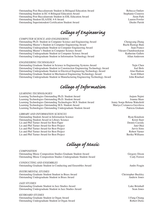Outstanding Post Baccalaureate Student in Bilingual Education Award Rebecca Outlaw<br>
Outstanding Student in EC-6 Bilingual Education Award Stephanie Cisneros Outstanding Student in EC-6 Bilingual Education Award Stephanie Cisneros<br>
Outstanding Post Baccalaureate Student in ESL Education Award Stephanie Cisneros<br>
Jieun Park Outstanding Post Baccalaureate Student in ESL Education Award Outstanding Student ELA/ESL 4-8 Award Lauren Fowler Outstanding Superintendent Certification Student Award Diedre Parish

## *College of Engineering*

#### *COMPUTER SCIENCE AND ENGINEERING*

Outstanding Ph.D. Student in Computer Science and Engineering Award Chengyang Zhang Outstanding Master's Student in Computer Engineering Award Outstanding Undergraduate Student in Computer Engineering Award Juan Franco Outstanding Master's Student in Computer Science Award<br>Outstanding Undergraduate Student in Computer Science Award Katherine Gallets Outstanding Undergraduate Student in Computer Science Award Outstanding Undergraduate Student in Information Technology Award Allan Anderson

#### *ENGINEERING TECHNOLOGY*

Outstanding Graduate Student in Science in Engineering Systems Award Yujie Chen Outstanding Undergraduate Student in Construction Engineering Technology Award Joel Bolz Outstanding Undergraduate Student in Electrical Engineering Technology Award Outstanding Graduate Student in Mechanical Engineering Technology Award Scott Ebbert Outstanding Undergraduate Student in Manufacturing Engineering Technology Award John Rinehart

*College of Information*

#### *LEARNING TECHNOLOGIES*

Learning Technologies Outstanding Ph.D. Student Award Animedia and Anjum Najmi<br>
Learning Technologies Outstanding Ph.D. Student Award Animedia and Anjum Najmi Learning Technologies Outstanding Ph.D. Student Award [1984] Joanna Shaw Joanna Shaw Joanna Shaw Jearning Technologies Outstanding Technologies M.S. Student Award Jenny Sonja Helena Wakefield Learning Technologies Outstanding Technologies M.S. Student Award Jenny Sonja Helena Wakefield<br>Learning Technologies Outstanding M.S. Student Award Mariya Cvetanova Gavrilova Learning Technologies Outstanding M.S. Student Award<br>Learning Technologies Outstanding Undergraduate Student Award Mariya Cvetanova Gavrilova<br>Patricia Graham Learning Technologies Outstanding Undergraduate Student Award

#### *LIBRARY AND INFORMATION SCIENCES*

Outstanding Student Award in Information Science **Ryan Knudson** Ryan Knudson Outstanding Student Award in Library Science Kristi Starr<br>
Lis and Phil Turner Award for Best Paper<br>
Cassidy Company Science Research Starr (1999) Lis and Phil Turner Award for Best Paper and Phil Turner Award for Best Paper and Phil Turner Award for Best Project and Phil Turner Award for Best Project and Phil Turner Award for Best Project and Phil Dennis Cassidy and Lis and Phil Turner Award for Best Project Lis and Phil Turner Award for Best Project and Phil Turner Award for Best Project Jarvis Sims<br>
Lis and Phil Turner Award for Best Project and Phil Turner Award for Best Project and Phil Turner Award for Best Project Lis and Phil Turner Award for Best Project<br>
Lis and Phil Turner Award for Best Project 
Recita Unit and Phil Turner Award for Best Project

Recita Unit and Phil Turner Award for Best Project Lis and Phil Turner Award for Best Project

*College of Music*

*COMPOSITION* Outstanding Music Composition Studies Graduate Student Award Gregory Dixon Outstanding Music Composition Studies Undergraduate Student Award Cody Forrest

*CONDUCTING AND ENSEMBLES* Outstanding Graduate Student in Conducting and Ensembles Award Andre Feagin Andre Feagin

#### *INSTRUMENTAL STUDIES*

Outstanding Graduate Student Student in Brass Award Christopher Buckley<br>Outstanding Undergraduate Student in Brass Award Andrew Jones Outstanding Undergraduate Student in Brass Award

#### *JAZZ STUDIES*

Outstanding Graduate Student in Jazz Studies Award Luke Brimhall Outstanding Undergraduate Student in Jazz Studies Award Sean Jones

#### *KEYBOARD STUDIES*

Outstanding Graduate Student in Organ Award **I-Fang Chiang Chiang** I-Fang Chiang Outstanding Undergraduate Student in Organ Award Robert Dicks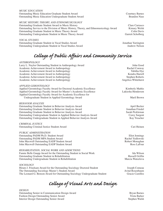#### *MUSIC EDUCATION*

Outstanding Music Education Graduate Student Award Courtney Barnes Outstanding Music Education Undergraduate Student Award

#### *MUSIC HISTORY, THEORY, AND ETHNOMUSICOLOGY*

Outstanding Graduate Student Award in Music History Clare Carrasco Outstanding Service to the Division of Music History, Theory, and Ethnomusicology Award Kimary Welsh Outstanding Graduate Student in Music Theory Award<br>
Outstanding Undergraduate Student in Music Theory Award Colin Davis<br>
Garrett Scholberg Outstanding Undergraduate Student in Music Theory Award

#### *VOCAL STUDIES*

Outstanding Graduate Student in Vocal Studies Award Jonathan Yarrington Outstanding Undergraduate Student in Vocal Studies Award Andrew Nelson Andrew Nelson

## *College of Public Affairs and Community Service*

#### *ANTHROPOLOGY*

Larry L. Naylor Outstanding Student in Anthropology Award John Good Academic Achievement Award in Anthropology **Rachel Conway** Rachel Conway Academic Achievement Award in Anthropology Tabitha Dye Academic Achievement Award in Anthropology **Kendra Harrell** Kendra Harrell Academic Achievement Award in Anthropology Stephen Roberts Academic Achievement Award in Anthropology **Angelica Whitehurst** Angelica Whitehurst

|  | APPLIED GERONTOLOGY |
|--|---------------------|
|--|---------------------|

Applied Gerontology Faculty Award for Doctoral Academic Excellence Kimberly Mathis Applied Gerontology Faculty Award for Master's Academic Excellence Lakiesha Henderson Applied Gerontology Faculty Award for Academic Excellence for Undergraduate Student in Applied Gerontology Award Maril Brown

#### *BEHAVIOR ANALYSIS*

Outstanding Graduate Student in Behavior Analysis Award April Becker April Becker Outstanding Graduate Student in Behavior Analysis Award Jonathan Friedel Outstanding Graduate Student in Behavior Analysis Award Sarah Pickleman Sarah Pickleman Outstanding Undergraduate Student in Applied Behavior Analysis Award Corey Sargent Outstanding Undergraduate Student in Applied Behavior Analysis Award Kay Treacher

#### *CRIMINAL JUSTICE*

Outstanding Criminal Justice Student Award Cari Heinen

#### *PUBLIC ADMINISTRATION*

Outstanding PADM Ph.D. Student Award Eliot Jennings Outstanding PADM MPA Student Award<br>
John Maxwell Outstanding EADP Student Award Rachel Yedlowski Robert Monaghan John Maxwell Outstanding EADP Student Award John Maxwell Outstanding EADP Student Award Ross LaFour Ross LaFour

*REHABILITATION, SOCIAL WORK AND ADDICTIONS* Fannie Belle Gaupp Award for the Outstanding Student in Social Work Ida Wilson Outstanding Graduate Student in Rehabilitation<br>
Outstanding Undergraduate Student in Rehabilitation Russell Griffin<br>
Marcia Watzelova Outstanding Undergraduate Student in Rehabilitation

*SOCIOLOGY* Hiram J. Friedsam Award for the Outstanding Sociology Doctoral Student Joseph Comeau The Outstanding Sociology Master's Student Award **Australian Controllery Acity** Avital Rosenbaum The Leonard G. Benson Award for Outstanding Sociology Undergraduate Student Gracie Castillos

*College of Visual Arts and Design*

*DESIGN* Outstanding Senior in Communication Design Award Bryan Barnes Bryan Barnes Fashion Design Outstanding Senior Award Trista Barker Trista Barker Interior Design Outstanding Senior Award Stephen Walsh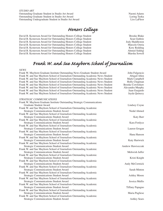*STUDIO ART* Outstanding Graduate Student in Studio Art Award<br>
Outstanding Graduate Student in Studio Art Award Naomi Adams<br>
Loring Taoka Outstanding Graduate Student in Studio Art Award Outstanding Undergraduate Student in Studio Art Award Liss LaFleor

## *Honors College*

David B. Kesterson Award for Outstanding Honors College Student Brooke Blake Blake

David B. Kesterson Award for Outstanding Honors College Student Sean Guthrie Sean Guthrie

David B. Kesterson Award for Outstanding Honors College Student Form of Tody Huddleston

David B. Kesterson Award for Outstanding Honors College Student Marcelo Ostria

David B. Kesterson Award for Outstanding Honors College Student Kory Redding Kory Redding

David B. Kesterson Award for Outstanding Honors College Student Theorem Ahmed Siddiqi<br>David B. Kesterson Award for Outstanding Honors College Student Theorem Ahmed Siddiqi

David B. Kesterson Award for Outstanding Honors College Student

## *Frank W. and Sue Mayborn School of Journalism*

#### *NEWS*

Frank W. Mayborn Graduate Institute Outstanding News Graduate Student Award John Fulgencio Frank W. and Sue Mayborn School of Journalism Outstanding Academic News Student Abigail Allen<br>Frank W. and Sue Mayborn School of Journalism Outstanding Academic News Student Mark Campbell Frank W. and Sue Mayborn School of Journalism Outstanding Academic News Student Mark Campbell<br>Frank W. and Sue Mayborn School of Journalism Outstanding Academic News Student Holly Chapman Frank W. and Sue Mayborn School of Journalism Outstanding Academic News Student Frank W. and Sue Mayborn School of Journalism Outstanding Academic News Student Brooke Cowlishaw<br>Frank W. and Sue Mayborn School of Journalism Outstanding Academic News Student Alexandra Murphy Frank W. and Sue Mayborn School of Journalism Outstanding Academic News Student Alexandra Murphy<br>Frank W. and Sue Mayborn School of Journalism Outstanding Academic News Student Juan Guajardo Frank W. and Sue Mayborn School of Journalism Outstanding Academic News Student Frank W. and Sue Mayborn School of Journalism Outstanding Academic News Student Jayda Quincey *STRATEGIC COMMUNICATIONS* Frank W. Mayborn Graduate Institute Outstanding Strategic Communications Graduate Student Award Lindsey Coyne Frank W. and Sue Mayborn School of Journalism Outstanding Academic Strategic Communications Student Award Nedal Ahmed Nedal Ahmed Nedal Ahmed Nedal Ahmed Nedal Ahmed Nedal Ahmed Nedal Ahmed Nedal Ahmed Nedal Ahmed Nedal Ahmed Nedal Ahmed Nedal Ahmed Nedal Ahmed Nedal Ahmed Nedal Ahmed Ned Frank W. and Sue Mayborn School of Journalism Outstanding Academic Strategic Communications Student Award Katy Barr (Katy Barr (Katy Barr (Katy Barr (Katy Barr (Katy Barr (Katy Barr 1999) Frank W. and Sue Mayborn School of Journalism Outstanding Academic Strategic Communications Student Award Kara Fordyce Frank W. and Sue Mayborn School of Journalism Outstanding Academic Strategic Communications Student Award Lauren Grogan Frank W. and Sue Mayborn School of Journalism Outstanding Academic Strategic Communications Student Award **Hana Hanson** Hana Hanson Frank W. and Sue Mayborn School of Journalism Outstanding Academic Strategic Communications Student Award Katy Hartwick Frank W. and Sue Mayborn School of Journalism Outstanding Academic Strategic Communications Student Award Andrew Hawiszczak Frank W. and Sue Mayborn School of Journalism Outstanding Academic Strategic Communications Student Award Mehwish Jaffer Frank W. and Sue Mayborn School of Journalism Outstanding Academic Strategic Communications Student Award **Kristi Knight** Kristi Knight Frank W. and Sue Mayborn School of Journalism Outstanding Academic Strategic Communications Student Award Andy McCormick Andy McCormick Frank W. and Sue Mayborn School of Journalism Outstanding Academic Strategic Communications Student Award Sarah Minton Sarah Minton Frank W. and Sue Mayborn School of Journalism Outstanding Academic Strategic Communications Student Award **Ashley Moore** Ashley Moore Frank W. and Sue Mayborn School of Journalism Outstanding Academic Strategic Communications Student Award **International Student Award** Jessica Mullis Frank W. and Sue Mayborn School of Journalism Outstanding Academic Strategic Communications Student Award Tiffany Papagno Frank W. and Sue Mayborn School of Journalism Outstanding Academic Strategic Communications Student Award Maria Pugliese Frank W. and Sue Mayborn School of Journalism Outstanding Academic Strategic Communications Student Award Ashley Sears Ashley Sears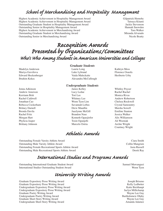## *School of Merchandising and Hospitality Management*

Highest Academic Achievement in Hospitality Management Award Gilpatrick Hornsby Highest Academic Achievement in Hospitality Management Award Tatsuya Kitami Outstanding Graduate Student in Hospitality Management Award Jackie Stevenson Outstanding Senior in Hospitality Management Award **Hannah Snowden** Hannah Snowden Highest Academic Achievement in Merchandising Award Tara Walker Outstanding Graduate Student in Merchandising Award Miranda Alvarado Miranda Alvarado Outstanding Senior in Merchandising Award Nicole Beatty Nicole Beatty

# *Recognition Awards Presented by Organizations/Committees Who's Who Among Students in American Universities and Colleges*

#### *Graduate Students*

Madelyn Anderson Laurie Long Kathryn Moss Mariya Gavrilova Luke Lybrand Florence Osuofa Edward Hockenberger Vaida Maleckaite Heriberto Urby Ibrahim Kekec Alexandra McCullough

#### *Undergraduate Students*

Jenna Adkinson James Kelley Whitley Poyser Andrew Amerson **Lucy Ledue** Rachel Rachel Rachel Rachel Rachel Rachel Rachel Rachel Rachel Rachel Rachel Rachel Rachel Rachel Rachel Rachel Rachel Rachel Rachel Rachel Rachel Rachel Rachel Rachel Rachel Rachel Rachel Rache Kerriann Britt **Tori Lee** Tori Lee **Monica Rivas** Rachel Caldwell **Example 20** Whitney Lee Andrew Robertson Jonathan Cao Woon Tyen Lim Chelsea Rockwell Rebecca Cockerham Savannah Loftus Crystal Samountry Britney Darnell **Drew Maudlin** Drew Maudlin Marsha Sowell Brenda Davila Jaazlynne McGill Emiline Stanton Rachel Fritz Brandon Nase Jessica Walker Morgan Hart **Kenneth Oguejiofor** Alix Williamson Phylicia Jasper Tosin Ogunjobi Ali Wozniak Brittany Johnson Marcelo Ostria Archie Wright

## *Athletic Awards*

Courtney Wright

Outstanding Female Varsity Athlete Award Ciara Smith Outstanding Male Varsity Athlete Award Collin Mangrum Outstanding Female Recreational Sports Athlete Award Jasia Russell Outstanding Male Recreational Sports Athlete Award Derek Ray

## *International Studies and Programs Awards*

Outstanding International Graduate Student Award Samuel Muwanguzi International Studies Outstanding Student Award Woon Tyen

*University Writing Awards*

Graduate Expository Prose Writing Award **Graduate Expository Prose Writing Award** Graduate Expository Prose Writing Award Kelly Ledbetter Undergraduate Expository Prose Writing Award<br>
Undergraduate Expository Prose Writing Award Sachson State Breithaupt<br>
Undergraduate Expository Prose Writing Award State Breithaupt Undergraduate Expository Prose Writing Award Graduate Poetry Writing Award Wayne Lee Gay Undergraduate Poetry Writing Award<br>
Graduate Short Story Writing Award Supervisory Awayne Lee Gay Graduate Short Story Writing Award Undergraduate Short Story Writing Award Amanda Adamez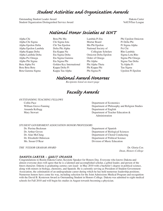## *Student Activities and Organization Awards*

Outstanding Student Leader Award Dakota Carter Student Organization Distinguished Service Award VolUNTeer League

### *National Honor Societies at UNT*

Alpha Chi Alpha Chi Sigma Alpha Epsilon Delta Alpha Epsilon Lambda Alpha Kappa Delta Alpha Lambda Delta Alpha Psi Omega Alpha Phi Sigma Beta Alpha Psi Beta Beta Beta Beta Gamma Sigma

Beta Phi Mu Chi Sigma Iota Chi Tau Epsilon Delta Phi Alpha Eta Kappa Nu Eta Sigma Delta Eta Sigma Gamma Eta Sigma Phi Golden Key International Kappa Delta Pi Kappa Tau Alpha

Lambda Pi Eta Mortar Board Mu Phi Epsilon National Society of Collegiate Scholars Omicron Delta Epsilon Order of Omega Phi Alpha Phi Alpha Theta Phi Kappa Phi Phi Sigma Pi

Phi Upsilon Omicron Pi Delta Phi Pi Sigma Alpha Psi Chi Rho Lambda Sigma Lota Rho Sigma Phi Omega Sigma Tau Delta Ta Alpha Pi Tau Sigma Upsilon Pi Epsilon

## *National Award Honorees*

*Recipients listed on insert page*

*Faculty Awards*

#### *OUTSTANDING TEACHING FELLOWS*

Amanda Kellogg **Department of English** 

Collin Pace **Department of Economics** William Grove-Fanning The Compact of Philosophy and Religion Studies Mary Stewart **Department of Teacher Education &** Administration

#### *STUDENT GOVERNMENT ASSOCIATION HONOR PROFESSORS*

Dr. Pierina Beckman Department of Spanish

 Dr. Arthur Goven Department of Biological Sciences Dr. Alan McClung **Department of Choral Conducting**  Dr. Elizabeth Oldmixon Department of Political Science Ms. Susan O'Rear Division of Music Education

*THE 'FESSOR GRAHAM AWARD* Dr. Gloria Cox *Dean, Honors College*

#### *Dakota Carter – Guest Spea ker*

Congratulations to Rustin Dakota Carter, Keynote Speaker for Honors Day. Everyone who knows Dakota-and almost everyone does-will agree that he is a talented and accomplished scholar, a gifted leader, and person of the finest character. Dakota is graduating *summa cum laude* in May 2010 with a bachelor's degree in political science, along with minors in biology, chemistry, and Spanish. He is currently serving as President of Student Government Association, the culmination of an undergraduate career during which he has held numerous leadership positions. Numerous honors have come his way, including selection for the Joint Admissions Medical Program and recognition with the David B. Kesterson Award as Outstanding Student in Honors College. Dakota was admitted to eight medical schools for Fall 2010 and will begin his studies in August towards becoming a physician.